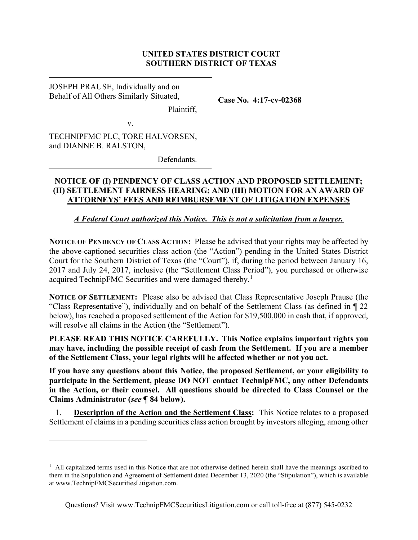# UNITED STATES DISTRICT COURT SOUTHERN DISTRICT OF TEXAS

Case No. 4:17-cv-02368

JOSEPH PRAUSE, Individually and on Behalf of All Others Similarly Situated,

Plaintiff,

v.

TECHNIPFMC PLC, TORE HALVORSEN, and DIANNE B. RALSTON,

Defendants.

# NOTICE OF (I) PENDENCY OF CLASS ACTION AND PROPOSED SETTLEMENT; (II) SETTLEMENT FAIRNESS HEARING; AND (III) MOTION FOR AN AWARD OF ATTORNEYS' FEES AND REIMBURSEMENT OF LITIGATION EXPENSES

# A Federal Court authorized this Notice. This is not a solicitation from a lawyer.

NOTICE OF PENDENCY OF CLASS ACTION: Please be advised that your rights may be affected by the above-captioned securities class action (the "Action") pending in the United States District Court for the Southern District of Texas (the "Court"), if, during the period between January 16, 2017 and July 24, 2017, inclusive (the "Settlement Class Period"), you purchased or otherwise acquired TechnipFMC Securities and were damaged thereby.<sup>1</sup>

NOTICE OF SETTLEMENT: Please also be advised that Class Representative Joseph Prause (the "Class Representative"), individually and on behalf of the Settlement Class (as defined in ¶ 22 below), has reached a proposed settlement of the Action for \$19,500,000 in cash that, if approved, will resolve all claims in the Action (the "Settlement").

PLEASE READ THIS NOTICE CAREFULLY. This Notice explains important rights you may have, including the possible receipt of cash from the Settlement. If you are a member of the Settlement Class, your legal rights will be affected whether or not you act.

If you have any questions about this Notice, the proposed Settlement, or your eligibility to participate in the Settlement, please DO NOT contact TechnipFMC, any other Defendants in the Action, or their counsel. All questions should be directed to Class Counsel or the Claims Administrator (see ¶ 84 below).

1. Description of the Action and the Settlement Class: This Notice relates to a proposed Settlement of claims in a pending securities class action brought by investors alleging, among other

<sup>&</sup>lt;sup>1</sup> All capitalized terms used in this Notice that are not otherwise defined herein shall have the meanings ascribed to them in the Stipulation and Agreement of Settlement dated December 13, 2020 (the "Stipulation"), which is available at www.TechnipFMCSecuritiesLitigation.com.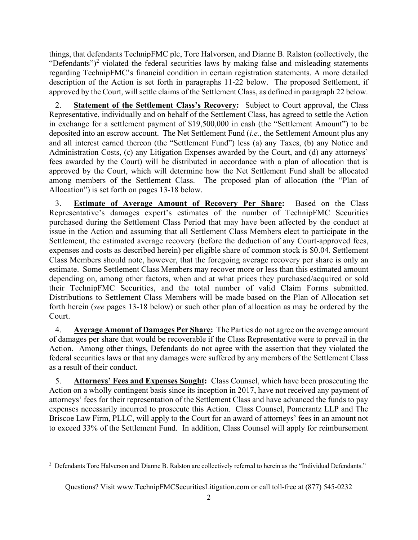things, that defendants TechnipFMC plc, Tore Halvorsen, and Dianne B. Ralston (collectively, the "Defendants")<sup>2</sup> violated the federal securities laws by making false and misleading statements regarding TechnipFMC's financial condition in certain registration statements. A more detailed description of the Action is set forth in paragraphs 11-22 below. The proposed Settlement, if approved by the Court, will settle claims of the Settlement Class, as defined in paragraph 22 below.

2. Statement of the Settlement Class's Recovery: Subject to Court approval, the Class Representative, individually and on behalf of the Settlement Class, has agreed to settle the Action in exchange for a settlement payment of \$19,500,000 in cash (the "Settlement Amount") to be deposited into an escrow account. The Net Settlement Fund *(i.e.*, the Settlement Amount plus any and all interest earned thereon (the "Settlement Fund") less (a) any Taxes, (b) any Notice and Administration Costs, (c) any Litigation Expenses awarded by the Court, and (d) any attorneys' fees awarded by the Court) will be distributed in accordance with a plan of allocation that is approved by the Court, which will determine how the Net Settlement Fund shall be allocated among members of the Settlement Class. The proposed plan of allocation (the "Plan of Allocation") is set forth on pages 13-18 below.

3. Estimate of Average Amount of Recovery Per Share: Based on the Class Representative's damages expert's estimates of the number of TechnipFMC Securities purchased during the Settlement Class Period that may have been affected by the conduct at issue in the Action and assuming that all Settlement Class Members elect to participate in the Settlement, the estimated average recovery (before the deduction of any Court-approved fees, expenses and costs as described herein) per eligible share of common stock is \$0.04. Settlement Class Members should note, however, that the foregoing average recovery per share is only an estimate. Some Settlement Class Members may recover more or less than this estimated amount depending on, among other factors, when and at what prices they purchased/acquired or sold their TechnipFMC Securities, and the total number of valid Claim Forms submitted. Distributions to Settlement Class Members will be made based on the Plan of Allocation set forth herein (see pages 13-18 below) or such other plan of allocation as may be ordered by the Court.

4. Average Amount of Damages Per Share: The Parties do not agree on the average amount of damages per share that would be recoverable if the Class Representative were to prevail in the Action. Among other things, Defendants do not agree with the assertion that they violated the federal securities laws or that any damages were suffered by any members of the Settlement Class as a result of their conduct.

5. Attorneys' Fees and Expenses Sought: Class Counsel, which have been prosecuting the Action on a wholly contingent basis since its inception in 2017, have not received any payment of attorneys' fees for their representation of the Settlement Class and have advanced the funds to pay expenses necessarily incurred to prosecute this Action. Class Counsel, Pomerantz LLP and The Briscoe Law Firm, PLLC, will apply to the Court for an award of attorneys' fees in an amount not to exceed 33% of the Settlement Fund. In addition, Class Counsel will apply for reimbursement

 $2$  Defendants Tore Halverson and Dianne B. Ralston are collectively referred to herein as the "Individual Defendants."

Questions? Visit www.TechnipFMCSecuritiesLitigation.com or call toll-free at (877) 545-0232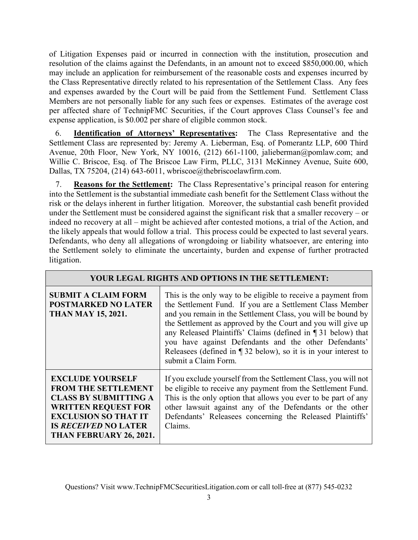of Litigation Expenses paid or incurred in connection with the institution, prosecution and resolution of the claims against the Defendants, in an amount not to exceed \$850,000.00, which may include an application for reimbursement of the reasonable costs and expenses incurred by the Class Representative directly related to his representation of the Settlement Class. Any fees and expenses awarded by the Court will be paid from the Settlement Fund. Settlement Class Members are not personally liable for any such fees or expenses. Estimates of the average cost per affected share of TechnipFMC Securities, if the Court approves Class Counsel's fee and expense application, is \$0.002 per share of eligible common stock.

6. Identification of Attorneys' Representatives: The Class Representative and the Settlement Class are represented by: Jeremy A. Lieberman, Esq. of Pomerantz LLP, 600 Third Avenue, 20th Floor, New York, NY 10016, (212) 661-1100, jalieberman@pomlaw.com; and Willie C. Briscoe, Esq. of The Briscoe Law Firm, PLLC, 3131 McKinney Avenue, Suite 600, Dallas, TX 75204, (214) 643-6011, wbriscoe@thebriscoelawfirm.com.

7. Reasons for the Settlement: The Class Representative's principal reason for entering into the Settlement is the substantial immediate cash benefit for the Settlement Class without the risk or the delays inherent in further litigation. Moreover, the substantial cash benefit provided under the Settlement must be considered against the significant risk that a smaller recovery – or indeed no recovery at all – might be achieved after contested motions, a trial of the Action, and the likely appeals that would follow a trial. This process could be expected to last several years. Defendants, who deny all allegations of wrongdoing or liability whatsoever, are entering into the Settlement solely to eliminate the uncertainty, burden and expense of further protracted litigation.

| YOUR LEGAL RIGHTS AND OPTIONS IN THE SETTLEMENT:                                                                                                                                                             |                                                                                                                                                                                                                                                                                                                                                                                                                                                                                   |  |
|--------------------------------------------------------------------------------------------------------------------------------------------------------------------------------------------------------------|-----------------------------------------------------------------------------------------------------------------------------------------------------------------------------------------------------------------------------------------------------------------------------------------------------------------------------------------------------------------------------------------------------------------------------------------------------------------------------------|--|
| <b>SUBMIT A CLAIM FORM</b><br><b>POSTMARKED NO LATER</b><br><b>THAN MAY 15, 2021.</b>                                                                                                                        | This is the only way to be eligible to receive a payment from<br>the Settlement Fund. If you are a Settlement Class Member<br>and you remain in the Settlement Class, you will be bound by<br>the Settlement as approved by the Court and you will give up<br>any Released Plaintiffs' Claims (defined in ¶ 31 below) that<br>you have against Defendants and the other Defendants'<br>Releasees (defined in $\P$ 32 below), so it is in your interest to<br>submit a Claim Form. |  |
| <b>EXCLUDE YOURSELF</b><br><b>FROM THE SETTLEMENT</b><br><b>CLASS BY SUBMITTING A</b><br><b>WRITTEN REQUEST FOR</b><br><b>EXCLUSION SO THAT IT</b><br><b>IS RECEIVED NO LATER</b><br>THAN FEBRUARY 26, 2021. | If you exclude yourself from the Settlement Class, you will not<br>be eligible to receive any payment from the Settlement Fund.<br>This is the only option that allows you ever to be part of any<br>other lawsuit against any of the Defendants or the other<br>Defendants' Releasees concerning the Released Plaintiffs'<br>Claims.                                                                                                                                             |  |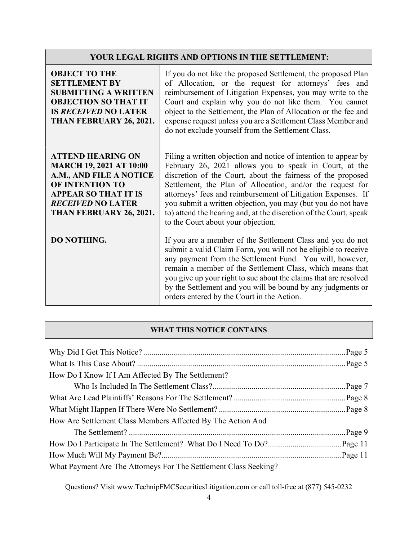# YOUR LEGAL RIGHTS AND OPTIONS IN THE SETTLEMENT:

| <b>OBJECT TO THE</b><br><b>SETTLEMENT BY</b><br><b>SUBMITTING A WRITTEN</b><br><b>OBJECTION SO THAT IT</b><br><b>IS RECEIVED NO LATER</b><br>THAN FEBRUARY 26, 2021.                           | If you do not like the proposed Settlement, the proposed Plan<br>of Allocation, or the request for attorneys' fees and<br>reimbursement of Litigation Expenses, you may write to the<br>Court and explain why you do not like them. You cannot<br>object to the Settlement, the Plan of Allocation or the fee and<br>expense request unless you are a Settlement Class Member and<br>do not exclude yourself from the Settlement Class.                                                           |
|------------------------------------------------------------------------------------------------------------------------------------------------------------------------------------------------|---------------------------------------------------------------------------------------------------------------------------------------------------------------------------------------------------------------------------------------------------------------------------------------------------------------------------------------------------------------------------------------------------------------------------------------------------------------------------------------------------|
| <b>ATTEND HEARING ON</b><br><b>MARCH 19, 2021 AT 10:00</b><br>A.M., AND FILE A NOTICE<br>OF INTENTION TO<br><b>APPEAR SO THAT IT IS</b><br><b>RECEIVED NO LATER</b><br>THAN FEBRUARY 26, 2021. | Filing a written objection and notice of intention to appear by<br>February 26, 2021 allows you to speak in Court, at the<br>discretion of the Court, about the fairness of the proposed<br>Settlement, the Plan of Allocation, and/or the request for<br>attorneys' fees and reimbursement of Litigation Expenses. If<br>you submit a written objection, you may (but you do not have<br>to) attend the hearing and, at the discretion of the Court, speak<br>to the Court about your objection. |
| <b>DO NOTHING.</b>                                                                                                                                                                             | If you are a member of the Settlement Class and you do not<br>submit a valid Claim Form, you will not be eligible to receive<br>any payment from the Settlement Fund. You will, however,<br>remain a member of the Settlement Class, which means that<br>you give up your right to sue about the claims that are resolved<br>by the Settlement and you will be bound by any judgments or<br>orders entered by the Court in the Action.                                                            |

### WHAT THIS NOTICE CONTAINS

| How Do I Know If I Am Affected By The Settlement?                |  |
|------------------------------------------------------------------|--|
|                                                                  |  |
|                                                                  |  |
|                                                                  |  |
| How Are Settlement Class Members Affected By The Action And      |  |
|                                                                  |  |
|                                                                  |  |
|                                                                  |  |
| What Payment Are The Attorneys For The Settlement Class Seeking? |  |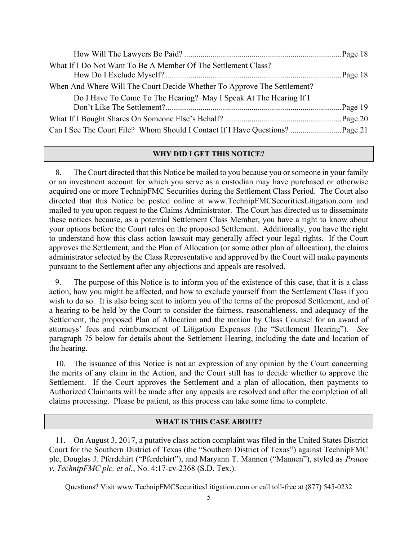| What If I Do Not Want To Be A Member Of The Settlement Class?           |  |
|-------------------------------------------------------------------------|--|
|                                                                         |  |
| When And Where Will The Court Decide Whether To Approve The Settlement? |  |
| Do I Have To Come To The Hearing? May I Speak At The Hearing If I       |  |
|                                                                         |  |
|                                                                         |  |
|                                                                         |  |

### WHY DID I GET THIS NOTICE?

8. The Court directed that this Notice be mailed to you because you or someone in your family or an investment account for which you serve as a custodian may have purchased or otherwise acquired one or more TechnipFMC Securities during the Settlement Class Period. The Court also directed that this Notice be posted online at www.TechnipFMCSecuritiesLitigation.com and mailed to you upon request to the Claims Administrator. The Court has directed us to disseminate these notices because, as a potential Settlement Class Member, you have a right to know about your options before the Court rules on the proposed Settlement. Additionally, you have the right to understand how this class action lawsuit may generally affect your legal rights. If the Court approves the Settlement, and the Plan of Allocation (or some other plan of allocation), the claims administrator selected by the Class Representative and approved by the Court will make payments pursuant to the Settlement after any objections and appeals are resolved.

9. The purpose of this Notice is to inform you of the existence of this case, that it is a class action, how you might be affected, and how to exclude yourself from the Settlement Class if you wish to do so. It is also being sent to inform you of the terms of the proposed Settlement, and of a hearing to be held by the Court to consider the fairness, reasonableness, and adequacy of the Settlement, the proposed Plan of Allocation and the motion by Class Counsel for an award of attorneys' fees and reimbursement of Litigation Expenses (the "Settlement Hearing"). See paragraph 75 below for details about the Settlement Hearing, including the date and location of the hearing.

10. The issuance of this Notice is not an expression of any opinion by the Court concerning the merits of any claim in the Action, and the Court still has to decide whether to approve the Settlement. If the Court approves the Settlement and a plan of allocation, then payments to Authorized Claimants will be made after any appeals are resolved and after the completion of all claims processing. Please be patient, as this process can take some time to complete.

#### WHAT IS THIS CASE ABOUT?

11. On August 3, 2017, a putative class action complaint was filed in the United States District Court for the Southern District of Texas (the "Southern District of Texas") against TechnipFMC plc, Douglas J. Pferdehirt ("Pferdehirt"), and Maryann T. Mannen ("Mannen"), styled as Prause v. TechnipFMC plc, et al., No.  $4:17$ -cv-2368 (S.D. Tex.).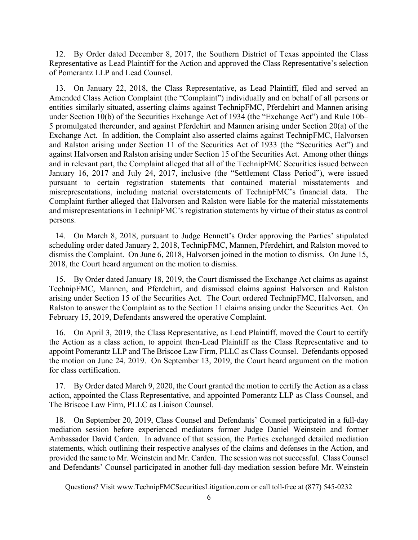12. By Order dated December 8, 2017, the Southern District of Texas appointed the Class Representative as Lead Plaintiff for the Action and approved the Class Representative's selection of Pomerantz LLP and Lead Counsel.

13. On January 22, 2018, the Class Representative, as Lead Plaintiff, filed and served an Amended Class Action Complaint (the "Complaint") individually and on behalf of all persons or entities similarly situated, asserting claims against TechnipFMC, Pferdehirt and Mannen arising under Section 10(b) of the Securities Exchange Act of 1934 (the "Exchange Act") and Rule 10b– 5 promulgated thereunder, and against Pferdehirt and Mannen arising under Section 20(a) of the Exchange Act. In addition, the Complaint also asserted claims against TechnipFMC, Halvorsen and Ralston arising under Section 11 of the Securities Act of 1933 (the "Securities Act") and against Halvorsen and Ralston arising under Section 15 of the Securities Act. Among other things and in relevant part, the Complaint alleged that all of the TechnipFMC Securities issued between January 16, 2017 and July 24, 2017, inclusive (the "Settlement Class Period"), were issued pursuant to certain registration statements that contained material misstatements and misrepresentations, including material overstatements of TechnipFMC's financial data. The Complaint further alleged that Halvorsen and Ralston were liable for the material misstatements and misrepresentations in TechnipFMC's registration statements by virtue of their status as control persons.

14. On March 8, 2018, pursuant to Judge Bennett's Order approving the Parties' stipulated scheduling order dated January 2, 2018, TechnipFMC, Mannen, Pferdehirt, and Ralston moved to dismiss the Complaint. On June 6, 2018, Halvorsen joined in the motion to dismiss. On June 15, 2018, the Court heard argument on the motion to dismiss.

15. By Order dated January 18, 2019, the Court dismissed the Exchange Act claims as against TechnipFMC, Mannen, and Pferdehirt, and dismissed claims against Halvorsen and Ralston arising under Section 15 of the Securities Act. The Court ordered TechnipFMC, Halvorsen, and Ralston to answer the Complaint as to the Section 11 claims arising under the Securities Act. On February 15, 2019, Defendants answered the operative Complaint.

16. On April 3, 2019, the Class Representative, as Lead Plaintiff, moved the Court to certify the Action as a class action, to appoint then-Lead Plaintiff as the Class Representative and to appoint Pomerantz LLP and The Briscoe Law Firm, PLLC as Class Counsel. Defendants opposed the motion on June 24, 2019. On September 13, 2019, the Court heard argument on the motion for class certification.

17. By Order dated March 9, 2020, the Court granted the motion to certify the Action as a class action, appointed the Class Representative, and appointed Pomerantz LLP as Class Counsel, and The Briscoe Law Firm, PLLC as Liaison Counsel.

18. On September 20, 2019, Class Counsel and Defendants' Counsel participated in a full-day mediation session before experienced mediators former Judge Daniel Weinstein and former Ambassador David Carden. In advance of that session, the Parties exchanged detailed mediation statements, which outlining their respective analyses of the claims and defenses in the Action, and provided the same to Mr. Weinstein and Mr. Carden. The session was not successful. Class Counsel and Defendants' Counsel participated in another full-day mediation session before Mr. Weinstein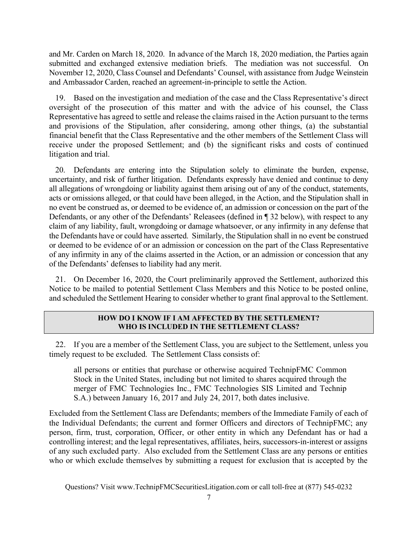and Mr. Carden on March 18, 2020. In advance of the March 18, 2020 mediation, the Parties again submitted and exchanged extensive mediation briefs. The mediation was not successful. On November 12, 2020, Class Counsel and Defendants' Counsel, with assistance from Judge Weinstein and Ambassador Carden, reached an agreement-in-principle to settle the Action.

19. Based on the investigation and mediation of the case and the Class Representative's direct oversight of the prosecution of this matter and with the advice of his counsel, the Class Representative has agreed to settle and release the claims raised in the Action pursuant to the terms and provisions of the Stipulation, after considering, among other things, (a) the substantial financial benefit that the Class Representative and the other members of the Settlement Class will receive under the proposed Settlement; and (b) the significant risks and costs of continued litigation and trial.

20. Defendants are entering into the Stipulation solely to eliminate the burden, expense, uncertainty, and risk of further litigation. Defendants expressly have denied and continue to deny all allegations of wrongdoing or liability against them arising out of any of the conduct, statements, acts or omissions alleged, or that could have been alleged, in the Action, and the Stipulation shall in no event be construed as, or deemed to be evidence of, an admission or concession on the part of the Defendants, or any other of the Defendants' Releasees (defined in ¶ 32 below), with respect to any claim of any liability, fault, wrongdoing or damage whatsoever, or any infirmity in any defense that the Defendants have or could have asserted. Similarly, the Stipulation shall in no event be construed or deemed to be evidence of or an admission or concession on the part of the Class Representative of any infirmity in any of the claims asserted in the Action, or an admission or concession that any of the Defendants' defenses to liability had any merit.

21. On December 16, 2020, the Court preliminarily approved the Settlement, authorized this Notice to be mailed to potential Settlement Class Members and this Notice to be posted online, and scheduled the Settlement Hearing to consider whether to grant final approval to the Settlement.

### HOW DO I KNOW IF I AM AFFECTED BY THE SETTLEMENT? WHO IS INCLUDED IN THE SETTLEMENT CLASS?

22. If you are a member of the Settlement Class, you are subject to the Settlement, unless you timely request to be excluded. The Settlement Class consists of:

all persons or entities that purchase or otherwise acquired TechnipFMC Common Stock in the United States, including but not limited to shares acquired through the merger of FMC Technologies Inc., FMC Technologies SIS Limited and Technip S.A.) between January 16, 2017 and July 24, 2017, both dates inclusive.

Excluded from the Settlement Class are Defendants; members of the Immediate Family of each of the Individual Defendants; the current and former Officers and directors of TechnipFMC; any person, firm, trust, corporation, Officer, or other entity in which any Defendant has or had a controlling interest; and the legal representatives, affiliates, heirs, successors-in-interest or assigns of any such excluded party. Also excluded from the Settlement Class are any persons or entities who or which exclude themselves by submitting a request for exclusion that is accepted by the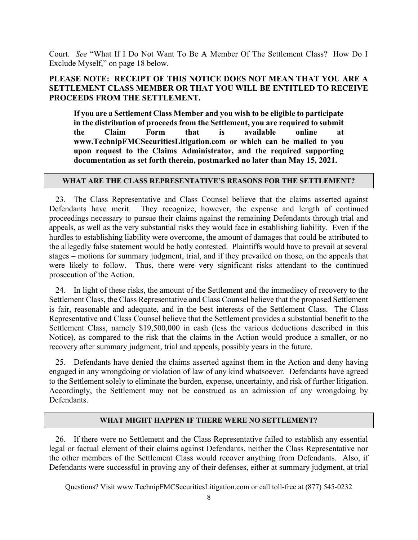Court. See "What If I Do Not Want To Be A Member Of The Settlement Class? How Do I Exclude Myself," on page 18 below.

# PLEASE NOTE: RECEIPT OF THIS NOTICE DOES NOT MEAN THAT YOU ARE A SETTLEMENT CLASS MEMBER OR THAT YOU WILL BE ENTITLED TO RECEIVE PROCEEDS FROM THE SETTLEMENT.

If you are a Settlement Class Member and you wish to be eligible to participate in the distribution of proceeds from the Settlement, you are required to submit the Claim Form that is available online at www.TechnipFMCSecuritiesLitigation.com or which can be mailed to you upon request to the Claims Administrator, and the required supporting documentation as set forth therein, postmarked no later than May 15, 2021.

### WHAT ARE THE CLASS REPRESENTATIVE'S REASONS FOR THE SETTLEMENT?

23. The Class Representative and Class Counsel believe that the claims asserted against Defendants have merit. They recognize, however, the expense and length of continued proceedings necessary to pursue their claims against the remaining Defendants through trial and appeals, as well as the very substantial risks they would face in establishing liability. Even if the hurdles to establishing liability were overcome, the amount of damages that could be attributed to the allegedly false statement would be hotly contested. Plaintiffs would have to prevail at several stages – motions for summary judgment, trial, and if they prevailed on those, on the appeals that were likely to follow. Thus, there were very significant risks attendant to the continued prosecution of the Action.

24. In light of these risks, the amount of the Settlement and the immediacy of recovery to the Settlement Class, the Class Representative and Class Counsel believe that the proposed Settlement is fair, reasonable and adequate, and in the best interests of the Settlement Class. The Class Representative and Class Counsel believe that the Settlement provides a substantial benefit to the Settlement Class, namely \$19,500,000 in cash (less the various deductions described in this Notice), as compared to the risk that the claims in the Action would produce a smaller, or no recovery after summary judgment, trial and appeals, possibly years in the future.

25. Defendants have denied the claims asserted against them in the Action and deny having engaged in any wrongdoing or violation of law of any kind whatsoever. Defendants have agreed to the Settlement solely to eliminate the burden, expense, uncertainty, and risk of further litigation. Accordingly, the Settlement may not be construed as an admission of any wrongdoing by Defendants.

### WHAT MIGHT HAPPEN IF THERE WERE NO SETTLEMENT?

26. If there were no Settlement and the Class Representative failed to establish any essential legal or factual element of their claims against Defendants, neither the Class Representative nor the other members of the Settlement Class would recover anything from Defendants. Also, if Defendants were successful in proving any of their defenses, either at summary judgment, at trial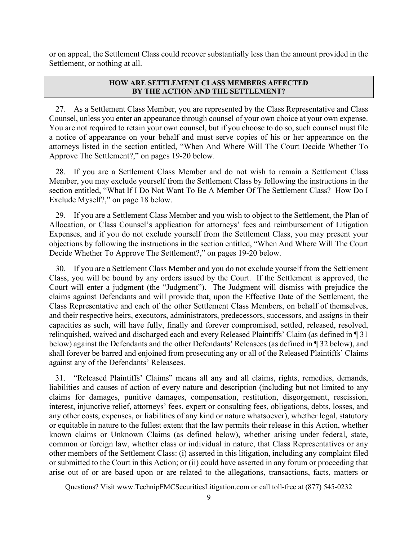or on appeal, the Settlement Class could recover substantially less than the amount provided in the Settlement, or nothing at all.

### HOW ARE SETTLEMENT CLASS MEMBERS AFFECTED BY THE ACTION AND THE SETTLEMENT?

27. As a Settlement Class Member, you are represented by the Class Representative and Class Counsel, unless you enter an appearance through counsel of your own choice at your own expense. You are not required to retain your own counsel, but if you choose to do so, such counsel must file a notice of appearance on your behalf and must serve copies of his or her appearance on the attorneys listed in the section entitled, "When And Where Will The Court Decide Whether To Approve The Settlement?," on pages 19-20 below.

28. If you are a Settlement Class Member and do not wish to remain a Settlement Class Member, you may exclude yourself from the Settlement Class by following the instructions in the section entitled, "What If I Do Not Want To Be A Member Of The Settlement Class? How Do I Exclude Myself?," on page 18 below.

29. If you are a Settlement Class Member and you wish to object to the Settlement, the Plan of Allocation, or Class Counsel's application for attorneys' fees and reimbursement of Litigation Expenses, and if you do not exclude yourself from the Settlement Class, you may present your objections by following the instructions in the section entitled, "When And Where Will The Court Decide Whether To Approve The Settlement?," on pages 19-20 below.

30. If you are a Settlement Class Member and you do not exclude yourself from the Settlement Class, you will be bound by any orders issued by the Court. If the Settlement is approved, the Court will enter a judgment (the "Judgment"). The Judgment will dismiss with prejudice the claims against Defendants and will provide that, upon the Effective Date of the Settlement, the Class Representative and each of the other Settlement Class Members, on behalf of themselves, and their respective heirs, executors, administrators, predecessors, successors, and assigns in their capacities as such, will have fully, finally and forever compromised, settled, released, resolved, relinquished, waived and discharged each and every Released Plaintiffs' Claim (as defined in ¶ 31 below) against the Defendants and the other Defendants' Releasees (as defined in ¶ 32 below), and shall forever be barred and enjoined from prosecuting any or all of the Released Plaintiffs' Claims against any of the Defendants' Releasees.

31. "Released Plaintiffs' Claims" means all any and all claims, rights, remedies, demands, liabilities and causes of action of every nature and description (including but not limited to any claims for damages, punitive damages, compensation, restitution, disgorgement, rescission, interest, injunctive relief, attorneys' fees, expert or consulting fees, obligations, debts, losses, and any other costs, expenses, or liabilities of any kind or nature whatsoever), whether legal, statutory or equitable in nature to the fullest extent that the law permits their release in this Action, whether known claims or Unknown Claims (as defined below), whether arising under federal, state, common or foreign law, whether class or individual in nature, that Class Representatives or any other members of the Settlement Class: (i) asserted in this litigation, including any complaint filed or submitted to the Court in this Action; or (ii) could have asserted in any forum or proceeding that arise out of or are based upon or are related to the allegations, transactions, facts, matters or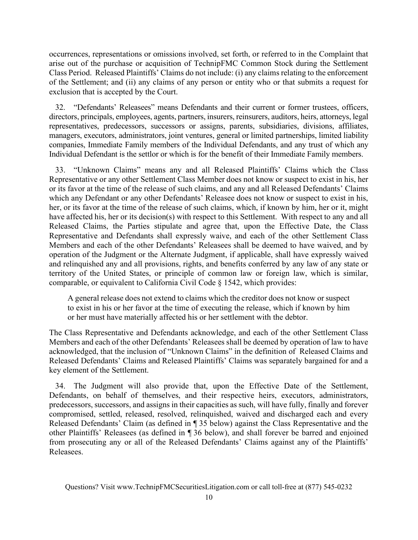occurrences, representations or omissions involved, set forth, or referred to in the Complaint that arise out of the purchase or acquisition of TechnipFMC Common Stock during the Settlement Class Period. Released Plaintiffs' Claims do not include: (i) any claims relating to the enforcement of the Settlement; and (ii) any claims of any person or entity who or that submits a request for exclusion that is accepted by the Court.

32. "Defendants' Releasees" means Defendants and their current or former trustees, officers, directors, principals, employees, agents, partners, insurers, reinsurers, auditors, heirs, attorneys, legal representatives, predecessors, successors or assigns, parents, subsidiaries, divisions, affiliates, managers, executors, administrators, joint ventures, general or limited partnerships, limited liability companies, Immediate Family members of the Individual Defendants, and any trust of which any Individual Defendant is the settlor or which is for the benefit of their Immediate Family members.

33. "Unknown Claims" means any and all Released Plaintiffs' Claims which the Class Representative or any other Settlement Class Member does not know or suspect to exist in his, her or its favor at the time of the release of such claims, and any and all Released Defendants' Claims which any Defendant or any other Defendants' Releasee does not know or suspect to exist in his, her, or its favor at the time of the release of such claims, which, if known by him, her or it, might have affected his, her or its decision(s) with respect to this Settlement. With respect to any and all Released Claims, the Parties stipulate and agree that, upon the Effective Date, the Class Representative and Defendants shall expressly waive, and each of the other Settlement Class Members and each of the other Defendants' Releasees shall be deemed to have waived, and by operation of the Judgment or the Alternate Judgment, if applicable, shall have expressly waived and relinquished any and all provisions, rights, and benefits conferred by any law of any state or territory of the United States, or principle of common law or foreign law, which is similar, comparable, or equivalent to California Civil Code § 1542, which provides:

A general release does not extend to claims which the creditor does not know or suspect to exist in his or her favor at the time of executing the release, which if known by him or her must have materially affected his or her settlement with the debtor.

The Class Representative and Defendants acknowledge, and each of the other Settlement Class Members and each of the other Defendants' Releasees shall be deemed by operation of law to have acknowledged, that the inclusion of "Unknown Claims" in the definition of Released Claims and Released Defendants' Claims and Released Plaintiffs' Claims was separately bargained for and a key element of the Settlement.

34. The Judgment will also provide that, upon the Effective Date of the Settlement, Defendants, on behalf of themselves, and their respective heirs, executors, administrators, predecessors, successors, and assigns in their capacities as such, will have fully, finally and forever compromised, settled, released, resolved, relinquished, waived and discharged each and every Released Defendants' Claim (as defined in ¶ 35 below) against the Class Representative and the other Plaintiffs' Releasees (as defined in ¶ 36 below), and shall forever be barred and enjoined from prosecuting any or all of the Released Defendants' Claims against any of the Plaintiffs' Releasees.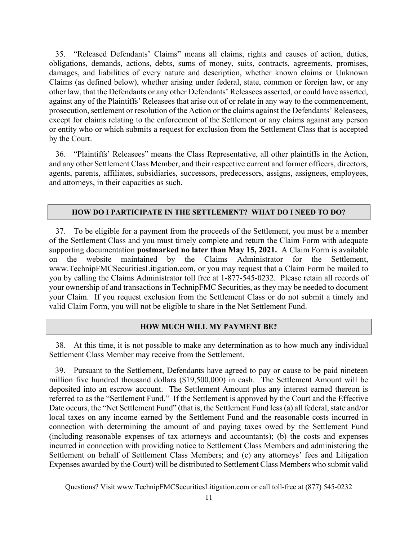35. "Released Defendants' Claims" means all claims, rights and causes of action, duties, obligations, demands, actions, debts, sums of money, suits, contracts, agreements, promises, damages, and liabilities of every nature and description, whether known claims or Unknown Claims (as defined below), whether arising under federal, state, common or foreign law, or any other law, that the Defendants or any other Defendants' Releasees asserted, or could have asserted, against any of the Plaintiffs' Releasees that arise out of or relate in any way to the commencement, prosecution, settlement or resolution of the Action or the claims against the Defendants' Releasees, except for claims relating to the enforcement of the Settlement or any claims against any person or entity who or which submits a request for exclusion from the Settlement Class that is accepted by the Court.

36. "Plaintiffs' Releasees" means the Class Representative, all other plaintiffs in the Action, and any other Settlement Class Member, and their respective current and former officers, directors, agents, parents, affiliates, subsidiaries, successors, predecessors, assigns, assignees, employees, and attorneys, in their capacities as such.

#### HOW DO I PARTICIPATE IN THE SETTLEMENT? WHAT DO I NEED TO DO?

37. To be eligible for a payment from the proceeds of the Settlement, you must be a member of the Settlement Class and you must timely complete and return the Claim Form with adequate supporting documentation postmarked no later than May 15, 2021. A Claim Form is available on the website maintained by the Claims Administrator for the Settlement, www.TechnipFMCSecuritiesLitigation.com, or you may request that a Claim Form be mailed to you by calling the Claims Administrator toll free at 1-877-545-0232. Please retain all records of your ownership of and transactions in TechnipFMC Securities, as they may be needed to document your Claim. If you request exclusion from the Settlement Class or do not submit a timely and valid Claim Form, you will not be eligible to share in the Net Settlement Fund.

### HOW MUCH WILL MY PAYMENT BE?

38. At this time, it is not possible to make any determination as to how much any individual Settlement Class Member may receive from the Settlement.

39. Pursuant to the Settlement, Defendants have agreed to pay or cause to be paid nineteen million five hundred thousand dollars (\$19,500,000) in cash. The Settlement Amount will be deposited into an escrow account. The Settlement Amount plus any interest earned thereon is referred to as the "Settlement Fund." If the Settlement is approved by the Court and the Effective Date occurs, the "Net Settlement Fund" (that is, the Settlement Fund less (a) all federal, state and/or local taxes on any income earned by the Settlement Fund and the reasonable costs incurred in connection with determining the amount of and paying taxes owed by the Settlement Fund (including reasonable expenses of tax attorneys and accountants); (b) the costs and expenses incurred in connection with providing notice to Settlement Class Members and administering the Settlement on behalf of Settlement Class Members; and (c) any attorneys' fees and Litigation Expenses awarded by the Court) will be distributed to Settlement Class Members who submit valid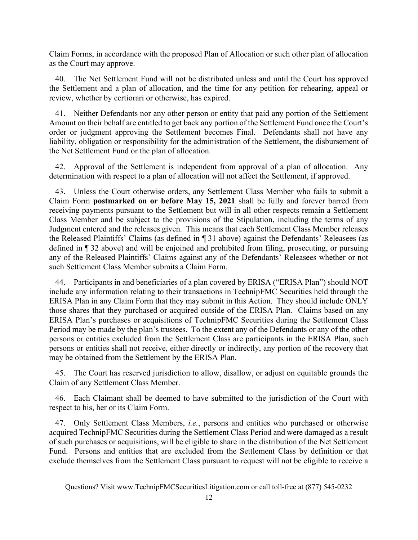Claim Forms, in accordance with the proposed Plan of Allocation or such other plan of allocation as the Court may approve.

40. The Net Settlement Fund will not be distributed unless and until the Court has approved the Settlement and a plan of allocation, and the time for any petition for rehearing, appeal or review, whether by certiorari or otherwise, has expired.

41. Neither Defendants nor any other person or entity that paid any portion of the Settlement Amount on their behalf are entitled to get back any portion of the Settlement Fund once the Court's order or judgment approving the Settlement becomes Final. Defendants shall not have any liability, obligation or responsibility for the administration of the Settlement, the disbursement of the Net Settlement Fund or the plan of allocation.

42. Approval of the Settlement is independent from approval of a plan of allocation. Any determination with respect to a plan of allocation will not affect the Settlement, if approved.

43. Unless the Court otherwise orders, any Settlement Class Member who fails to submit a Claim Form postmarked on or before May 15, 2021 shall be fully and forever barred from receiving payments pursuant to the Settlement but will in all other respects remain a Settlement Class Member and be subject to the provisions of the Stipulation, including the terms of any Judgment entered and the releases given. This means that each Settlement Class Member releases the Released Plaintiffs' Claims (as defined in ¶ 31 above) against the Defendants' Releasees (as defined in ¶ 32 above) and will be enjoined and prohibited from filing, prosecuting, or pursuing any of the Released Plaintiffs' Claims against any of the Defendants' Releasees whether or not such Settlement Class Member submits a Claim Form.

44. Participants in and beneficiaries of a plan covered by ERISA ("ERISA Plan") should NOT include any information relating to their transactions in TechnipFMC Securities held through the ERISA Plan in any Claim Form that they may submit in this Action. They should include ONLY those shares that they purchased or acquired outside of the ERISA Plan. Claims based on any ERISA Plan's purchases or acquisitions of TechnipFMC Securities during the Settlement Class Period may be made by the plan's trustees. To the extent any of the Defendants or any of the other persons or entities excluded from the Settlement Class are participants in the ERISA Plan, such persons or entities shall not receive, either directly or indirectly, any portion of the recovery that may be obtained from the Settlement by the ERISA Plan.

45. The Court has reserved jurisdiction to allow, disallow, or adjust on equitable grounds the Claim of any Settlement Class Member.

46. Each Claimant shall be deemed to have submitted to the jurisdiction of the Court with respect to his, her or its Claim Form.

47. Only Settlement Class Members, *i.e.*, persons and entities who purchased or otherwise acquired TechnipFMC Securities during the Settlement Class Period and were damaged as a result of such purchases or acquisitions, will be eligible to share in the distribution of the Net Settlement Fund. Persons and entities that are excluded from the Settlement Class by definition or that exclude themselves from the Settlement Class pursuant to request will not be eligible to receive a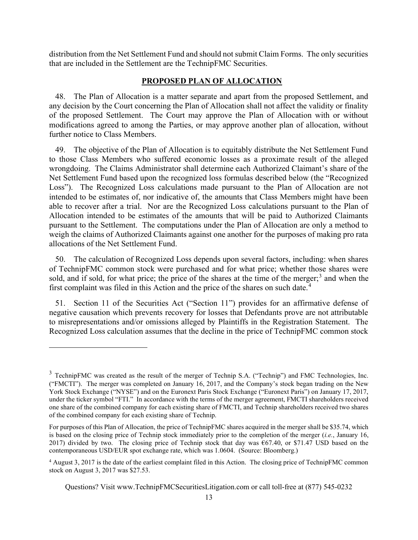distribution from the Net Settlement Fund and should not submit Claim Forms. The only securities that are included in the Settlement are the TechnipFMC Securities.

### PROPOSED PLAN OF ALLOCATION

48. The Plan of Allocation is a matter separate and apart from the proposed Settlement, and any decision by the Court concerning the Plan of Allocation shall not affect the validity or finality of the proposed Settlement. The Court may approve the Plan of Allocation with or without modifications agreed to among the Parties, or may approve another plan of allocation, without further notice to Class Members.

49. The objective of the Plan of Allocation is to equitably distribute the Net Settlement Fund to those Class Members who suffered economic losses as a proximate result of the alleged wrongdoing. The Claims Administrator shall determine each Authorized Claimant's share of the Net Settlement Fund based upon the recognized loss formulas described below (the "Recognized Loss"). The Recognized Loss calculations made pursuant to the Plan of Allocation are not intended to be estimates of, nor indicative of, the amounts that Class Members might have been able to recover after a trial. Nor are the Recognized Loss calculations pursuant to the Plan of Allocation intended to be estimates of the amounts that will be paid to Authorized Claimants pursuant to the Settlement. The computations under the Plan of Allocation are only a method to weigh the claims of Authorized Claimants against one another for the purposes of making pro rata allocations of the Net Settlement Fund.

50. The calculation of Recognized Loss depends upon several factors, including: when shares of TechnipFMC common stock were purchased and for what price; whether those shares were sold, and if sold, for what price; the price of the shares at the time of the merger;<sup>3</sup> and when the first complaint was filed in this Action and the price of the shares on such date.<sup>4</sup>

51. Section 11 of the Securities Act ("Section 11") provides for an affirmative defense of negative causation which prevents recovery for losses that Defendants prove are not attributable to misrepresentations and/or omissions alleged by Plaintiffs in the Registration Statement. The Recognized Loss calculation assumes that the decline in the price of TechnipFMC common stock

<sup>&</sup>lt;sup>3</sup> TechnipFMC was created as the result of the merger of Technip S.A. ("Technip") and FMC Technologies, Inc. ("FMCTI"). The merger was completed on January 16, 2017, and the Company's stock began trading on the New York Stock Exchange ("NYSE") and on the Euronext Paris Stock Exchange ("Euronext Paris") on January 17, 2017, under the ticker symbol "FTI." In accordance with the terms of the merger agreement, FMCTI shareholders received one share of the combined company for each existing share of FMCTI, and Technip shareholders received two shares of the combined company for each existing share of Technip.

For purposes of this Plan of Allocation, the price of TechnipFMC shares acquired in the merger shall be \$35.74, which is based on the closing price of Technip stock immediately prior to the completion of the merger (i.e., January 16, 2017) divided by two. The closing price of Technip stock that day was €67.40, or \$71.47 USD based on the contemporaneous USD/EUR spot exchange rate, which was 1.0604. (Source: Bloomberg.)

<sup>&</sup>lt;sup>4</sup> August 3, 2017 is the date of the earliest complaint filed in this Action. The closing price of TechnipFMC common stock on August 3, 2017 was \$27.53.

Questions? Visit www.TechnipFMCSecuritiesLitigation.com or call toll-free at (877) 545-0232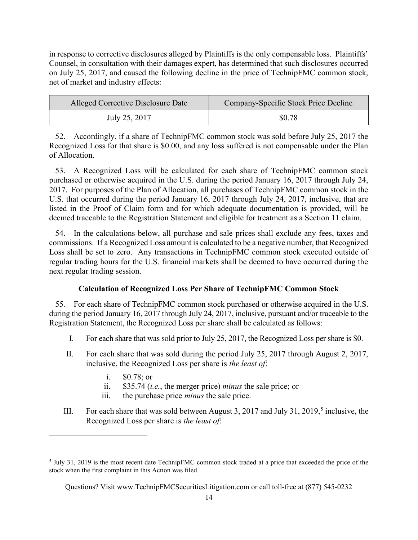in response to corrective disclosures alleged by Plaintiffs is the only compensable loss. Plaintiffs' Counsel, in consultation with their damages expert, has determined that such disclosures occurred on July 25, 2017, and caused the following decline in the price of TechnipFMC common stock, net of market and industry effects:

| Alleged Corrective Disclosure Date | Company-Specific Stock Price Decline |  |
|------------------------------------|--------------------------------------|--|
| July 25, 2017                      | \$0.78                               |  |

52. Accordingly, if a share of TechnipFMC common stock was sold before July 25, 2017 the Recognized Loss for that share is \$0.00, and any loss suffered is not compensable under the Plan of Allocation.

53. A Recognized Loss will be calculated for each share of TechnipFMC common stock purchased or otherwise acquired in the U.S. during the period January 16, 2017 through July 24, 2017. For purposes of the Plan of Allocation, all purchases of TechnipFMC common stock in the U.S. that occurred during the period January 16, 2017 through July 24, 2017, inclusive, that are listed in the Proof of Claim form and for which adequate documentation is provided, will be deemed traceable to the Registration Statement and eligible for treatment as a Section 11 claim.

54. In the calculations below, all purchase and sale prices shall exclude any fees, taxes and commissions. If a Recognized Loss amount is calculated to be a negative number, that Recognized Loss shall be set to zero. Any transactions in TechnipFMC common stock executed outside of regular trading hours for the U.S. financial markets shall be deemed to have occurred during the next regular trading session.

# Calculation of Recognized Loss Per Share of TechnipFMC Common Stock

55. For each share of TechnipFMC common stock purchased or otherwise acquired in the U.S. during the period January 16, 2017 through July 24, 2017, inclusive, pursuant and/or traceable to the Registration Statement, the Recognized Loss per share shall be calculated as follows:

- I. For each share that was sold prior to July 25, 2017, the Recognized Loss per share is \$0.
- II. For each share that was sold during the period July 25, 2017 through August 2, 2017, inclusive, the Recognized Loss per share is the least of:
	- i. \$0.78; or
	- ii. \$35.74 (i.e., the merger price) minus the sale price; or
	- iii. the purchase price minus the sale price.
- III. For each share that was sold between August 3, 2017 and July 31, 2019,<sup>5</sup> inclusive, the Recognized Loss per share is the least of:

<sup>&</sup>lt;sup>5</sup> July 31, 2019 is the most recent date TechnipFMC common stock traded at a price that exceeded the price of the stock when the first complaint in this Action was filed.

Questions? Visit www.TechnipFMCSecuritiesLitigation.com or call toll-free at (877) 545-0232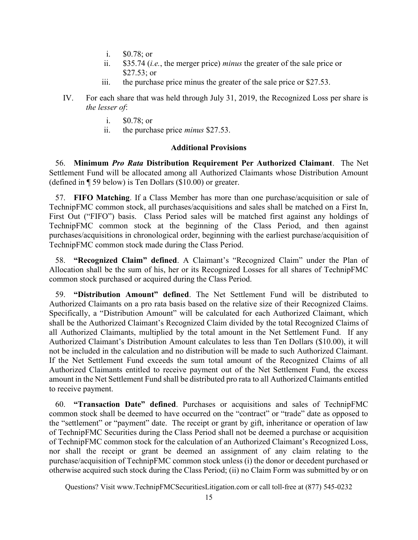- i. \$0.78; or
- ii.  $$35.74$  (*i.e.*, the merger price) *minus* the greater of the sale price or \$27.53; or
- iii. the purchase price minus the greater of the sale price or \$27.53.
- IV. For each share that was held through July 31, 2019, the Recognized Loss per share is the lesser of:
	- i. \$0.78; or
	- ii. the purchase price minus \$27.53.

### Additional Provisions

56. Minimum Pro Rata Distribution Requirement Per Authorized Claimant. The Net Settlement Fund will be allocated among all Authorized Claimants whose Distribution Amount (defined in ¶ 59 below) is Ten Dollars (\$10.00) or greater.

57. FIFO Matching. If a Class Member has more than one purchase/acquisition or sale of TechnipFMC common stock, all purchases/acquisitions and sales shall be matched on a First In, First Out ("FIFO") basis. Class Period sales will be matched first against any holdings of TechnipFMC common stock at the beginning of the Class Period, and then against purchases/acquisitions in chronological order, beginning with the earliest purchase/acquisition of TechnipFMC common stock made during the Class Period.

58. "Recognized Claim" defined. A Claimant's "Recognized Claim" under the Plan of Allocation shall be the sum of his, her or its Recognized Losses for all shares of TechnipFMC common stock purchased or acquired during the Class Period.

59. "Distribution Amount" defined. The Net Settlement Fund will be distributed to Authorized Claimants on a pro rata basis based on the relative size of their Recognized Claims. Specifically, a "Distribution Amount" will be calculated for each Authorized Claimant, which shall be the Authorized Claimant's Recognized Claim divided by the total Recognized Claims of all Authorized Claimants, multiplied by the total amount in the Net Settlement Fund. If any Authorized Claimant's Distribution Amount calculates to less than Ten Dollars (\$10.00), it will not be included in the calculation and no distribution will be made to such Authorized Claimant. If the Net Settlement Fund exceeds the sum total amount of the Recognized Claims of all Authorized Claimants entitled to receive payment out of the Net Settlement Fund, the excess amount in the Net Settlement Fund shall be distributed pro rata to all Authorized Claimants entitled to receive payment.

60. "Transaction Date" defined. Purchases or acquisitions and sales of TechnipFMC common stock shall be deemed to have occurred on the "contract" or "trade" date as opposed to the "settlement" or "payment" date. The receipt or grant by gift, inheritance or operation of law of TechnipFMC Securities during the Class Period shall not be deemed a purchase or acquisition of TechnipFMC common stock for the calculation of an Authorized Claimant's Recognized Loss, nor shall the receipt or grant be deemed an assignment of any claim relating to the purchase/acquisition of TechnipFMC common stock unless (i) the donor or decedent purchased or otherwise acquired such stock during the Class Period; (ii) no Claim Form was submitted by or on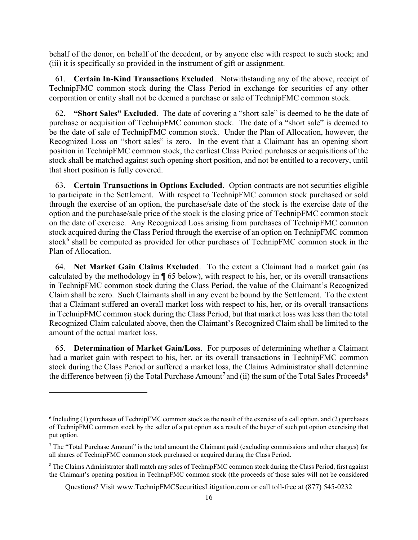behalf of the donor, on behalf of the decedent, or by anyone else with respect to such stock; and (iii) it is specifically so provided in the instrument of gift or assignment.

61. Certain In-Kind Transactions Excluded. Notwithstanding any of the above, receipt of TechnipFMC common stock during the Class Period in exchange for securities of any other corporation or entity shall not be deemed a purchase or sale of TechnipFMC common stock.

"Short Sales" Excluded. The date of covering a "short sale" is deemed to be the date of purchase or acquisition of TechnipFMC common stock. The date of a "short sale" is deemed to be the date of sale of TechnipFMC common stock. Under the Plan of Allocation, however, the Recognized Loss on "short sales" is zero. In the event that a Claimant has an opening short position in TechnipFMC common stock, the earliest Class Period purchases or acquisitions of the stock shall be matched against such opening short position, and not be entitled to a recovery, until that short position is fully covered.

63. Certain Transactions in Options Excluded. Option contracts are not securities eligible to participate in the Settlement. With respect to TechnipFMC common stock purchased or sold through the exercise of an option, the purchase/sale date of the stock is the exercise date of the option and the purchase/sale price of the stock is the closing price of TechnipFMC common stock on the date of exercise. Any Recognized Loss arising from purchases of TechnipFMC common stock acquired during the Class Period through the exercise of an option on TechnipFMC common stock<sup>6</sup> shall be computed as provided for other purchases of TechnipFMC common stock in the Plan of Allocation.

64. Net Market Gain Claims Excluded. To the extent a Claimant had a market gain (as calculated by the methodology in ¶ 65 below), with respect to his, her, or its overall transactions in TechnipFMC common stock during the Class Period, the value of the Claimant's Recognized Claim shall be zero. Such Claimants shall in any event be bound by the Settlement. To the extent that a Claimant suffered an overall market loss with respect to his, her, or its overall transactions in TechnipFMC common stock during the Class Period, but that market loss was less than the total Recognized Claim calculated above, then the Claimant's Recognized Claim shall be limited to the amount of the actual market loss.

65. Determination of Market Gain/Loss. For purposes of determining whether a Claimant had a market gain with respect to his, her, or its overall transactions in TechnipFMC common stock during the Class Period or suffered a market loss, the Claims Administrator shall determine the difference between (i) the Total Purchase Amount<sup>7</sup> and (ii) the sum of the Total Sales Proceeds<sup>8</sup>

<sup>6</sup> Including (1) purchases of TechnipFMC common stock as the result of the exercise of a call option, and (2) purchases of TechnipFMC common stock by the seller of a put option as a result of the buyer of such put option exercising that put option.

<sup>7</sup> The "Total Purchase Amount" is the total amount the Claimant paid (excluding commissions and other charges) for all shares of TechnipFMC common stock purchased or acquired during the Class Period.

<sup>&</sup>lt;sup>8</sup> The Claims Administrator shall match any sales of TechnipFMC common stock during the Class Period, first against the Claimant's opening position in TechnipFMC common stock (the proceeds of those sales will not be considered

Questions? Visit www.TechnipFMCSecuritiesLitigation.com or call toll-free at (877) 545-0232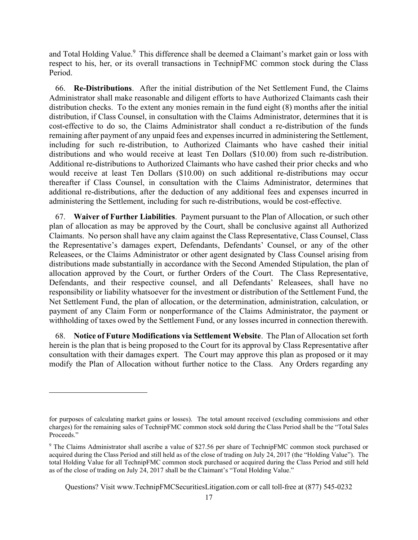and Total Holding Value.<sup>9</sup> This difference shall be deemed a Claimant's market gain or loss with respect to his, her, or its overall transactions in TechnipFMC common stock during the Class Period.

66. Re-Distributions. After the initial distribution of the Net Settlement Fund, the Claims Administrator shall make reasonable and diligent efforts to have Authorized Claimants cash their distribution checks. To the extent any monies remain in the fund eight (8) months after the initial distribution, if Class Counsel, in consultation with the Claims Administrator, determines that it is cost-effective to do so, the Claims Administrator shall conduct a re-distribution of the funds remaining after payment of any unpaid fees and expenses incurred in administering the Settlement, including for such re-distribution, to Authorized Claimants who have cashed their initial distributions and who would receive at least Ten Dollars (\$10.00) from such re-distribution. Additional re-distributions to Authorized Claimants who have cashed their prior checks and who would receive at least Ten Dollars (\$10.00) on such additional re-distributions may occur thereafter if Class Counsel, in consultation with the Claims Administrator, determines that additional re-distributions, after the deduction of any additional fees and expenses incurred in administering the Settlement, including for such re-distributions, would be cost-effective.

67. Waiver of Further Liabilities. Payment pursuant to the Plan of Allocation, or such other plan of allocation as may be approved by the Court, shall be conclusive against all Authorized Claimants. No person shall have any claim against the Class Representative, Class Counsel, Class the Representative's damages expert, Defendants, Defendants' Counsel, or any of the other Releasees, or the Claims Administrator or other agent designated by Class Counsel arising from distributions made substantially in accordance with the Second Amended Stipulation, the plan of allocation approved by the Court, or further Orders of the Court. The Class Representative, Defendants, and their respective counsel, and all Defendants' Releasees, shall have no responsibility or liability whatsoever for the investment or distribution of the Settlement Fund, the Net Settlement Fund, the plan of allocation, or the determination, administration, calculation, or payment of any Claim Form or nonperformance of the Claims Administrator, the payment or withholding of taxes owed by the Settlement Fund, or any losses incurred in connection therewith.

68. Notice of Future Modifications via Settlement Website. The Plan of Allocation set forth herein is the plan that is being proposed to the Court for its approval by Class Representative after consultation with their damages expert. The Court may approve this plan as proposed or it may modify the Plan of Allocation without further notice to the Class. Any Orders regarding any

for purposes of calculating market gains or losses). The total amount received (excluding commissions and other charges) for the remaining sales of TechnipFMC common stock sold during the Class Period shall be the "Total Sales Proceeds."

<sup>9</sup> The Claims Administrator shall ascribe a value of \$27.56 per share of TechnipFMC common stock purchased or acquired during the Class Period and still held as of the close of trading on July 24, 2017 (the "Holding Value"). The total Holding Value for all TechnipFMC common stock purchased or acquired during the Class Period and still held as of the close of trading on July 24, 2017 shall be the Claimant's "Total Holding Value."

Questions? Visit www.TechnipFMCSecuritiesLitigation.com or call toll-free at (877) 545-0232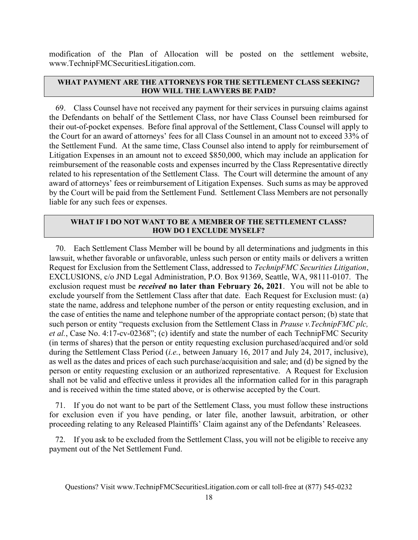modification of the Plan of Allocation will be posted on the settlement website, www.TechnipFMCSecuritiesLitigation.com.

## WHAT PAYMENT ARE THE ATTORNEYS FOR THE SETTLEMENT CLASS SEEKING? HOW WILL THE LAWYERS BE PAID?

69. Class Counsel have not received any payment for their services in pursuing claims against the Defendants on behalf of the Settlement Class, nor have Class Counsel been reimbursed for their out-of-pocket expenses. Before final approval of the Settlement, Class Counsel will apply to the Court for an award of attorneys' fees for all Class Counsel in an amount not to exceed 33% of the Settlement Fund. At the same time, Class Counsel also intend to apply for reimbursement of Litigation Expenses in an amount not to exceed \$850,000, which may include an application for reimbursement of the reasonable costs and expenses incurred by the Class Representative directly related to his representation of the Settlement Class. The Court will determine the amount of any award of attorneys' fees or reimbursement of Litigation Expenses. Such sums as may be approved by the Court will be paid from the Settlement Fund. Settlement Class Members are not personally liable for any such fees or expenses.

# WHAT IF I DO NOT WANT TO BE A MEMBER OF THE SETTLEMENT CLASS? HOW DO I EXCLUDE MYSELF?

70. Each Settlement Class Member will be bound by all determinations and judgments in this lawsuit, whether favorable or unfavorable, unless such person or entity mails or delivers a written Request for Exclusion from the Settlement Class, addressed to TechnipFMC Securities Litigation, EXCLUSIONS, c/o JND Legal Administration, P.O. Box 91369, Seattle, WA, 98111-0107. The exclusion request must be received no later than February 26, 2021. You will not be able to exclude yourself from the Settlement Class after that date. Each Request for Exclusion must: (a) state the name, address and telephone number of the person or entity requesting exclusion, and in the case of entities the name and telephone number of the appropriate contact person; (b) state that such person or entity "requests exclusion from the Settlement Class in *Prause v. TechnipFMC plc*, et al., Case No. 4:17-cv-02368"; (c) identify and state the number of each TechnipFMC Security (in terms of shares) that the person or entity requesting exclusion purchased/acquired and/or sold during the Settlement Class Period (i.e., between January 16, 2017 and July 24, 2017, inclusive), as well as the dates and prices of each such purchase/acquisition and sale; and (d) be signed by the person or entity requesting exclusion or an authorized representative. A Request for Exclusion shall not be valid and effective unless it provides all the information called for in this paragraph and is received within the time stated above, or is otherwise accepted by the Court.

71. If you do not want to be part of the Settlement Class, you must follow these instructions for exclusion even if you have pending, or later file, another lawsuit, arbitration, or other proceeding relating to any Released Plaintiffs' Claim against any of the Defendants' Releasees.

72. If you ask to be excluded from the Settlement Class, you will not be eligible to receive any payment out of the Net Settlement Fund.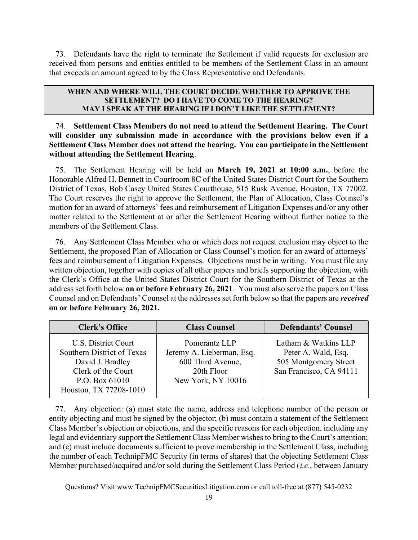73. Defendants have the right to terminate the Settlement if valid requests for exclusion are received from persons and entities entitled to be members of the Settlement Class in an amount that exceeds an amount agreed to by the Class Representative and Defendants.

### WHEN AND WHERE WILL THE COURT DECIDE WHETHER TO APPROVE THE SETTLEMENT? DO I HAVE TO COME TO THE HEARING? MAY I SPEAK AT THE HEARING IF I DON'T LIKE THE SETTLEMENT?

74. Settlement Class Members do not need to attend the Settlement Hearing. The Court will consider any submission made in accordance with the provisions below even if a Settlement Class Member does not attend the hearing. You can participate in the Settlement without attending the Settlement Hearing.

75. The Settlement Hearing will be held on March 19, 2021 at 10:00 a.m., before the Honorable Alfred H. Bennett in Courtroom 8C of the United States District Court for the Southern District of Texas, Bob Casey United States Courthouse, 515 Rusk Avenue, Houston, TX 77002. The Court reserves the right to approve the Settlement, the Plan of Allocation, Class Counsel's motion for an award of attorneys' fees and reimbursement of Litigation Expenses and/or any other matter related to the Settlement at or after the Settlement Hearing without further notice to the members of the Settlement Class.

76. Any Settlement Class Member who or which does not request exclusion may object to the Settlement, the proposed Plan of Allocation or Class Counsel's motion for an award of attorneys' fees and reimbursement of Litigation Expenses. Objections must be in writing. You must file any written objection, together with copies of all other papers and briefs supporting the objection, with the Clerk's Office at the United States District Court for the Southern District of Texas at the address set forth below on or before February 26, 2021. You must also serve the papers on Class Counsel and on Defendants' Counsel at the addresses set forth below so that the papers are received on or before February 26, 2021.

| Clerk's Office                                                                                                                          | <b>Class Counsel</b>                                                                                | <b>Defendants' Counsel</b>                                                                      |
|-----------------------------------------------------------------------------------------------------------------------------------------|-----------------------------------------------------------------------------------------------------|-------------------------------------------------------------------------------------------------|
| U.S. District Court<br>Southern District of Texas<br>David J. Bradley<br>Clerk of the Court<br>P.O. Box 61010<br>Houston, TX 77208-1010 | Pomerantz LLP<br>Jeremy A. Lieberman, Esq.<br>600 Third Avenue,<br>20th Floor<br>New York, NY 10016 | Latham & Watkins LLP<br>Peter A. Wald, Esq.<br>505 Montgomery Street<br>San Francisco, CA 94111 |

77. Any objection: (a) must state the name, address and telephone number of the person or entity objecting and must be signed by the objector; (b) must contain a statement of the Settlement Class Member's objection or objections, and the specific reasons for each objection, including any legal and evidentiary support the Settlement Class Member wishes to bring to the Court's attention; and (c) must include documents sufficient to prove membership in the Settlement Class, including the number of each TechnipFMC Security (in terms of shares) that the objecting Settlement Class Member purchased/acquired and/or sold during the Settlement Class Period (i.e., between January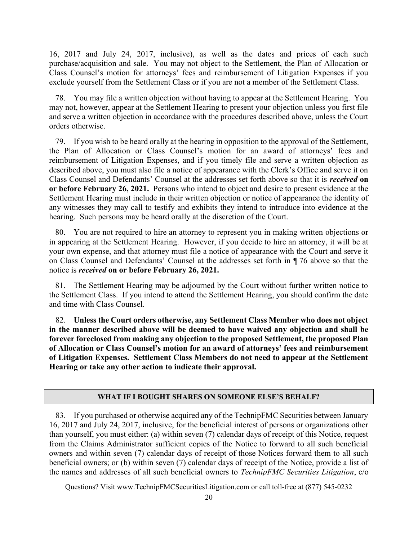16, 2017 and July 24, 2017, inclusive), as well as the dates and prices of each such purchase/acquisition and sale. You may not object to the Settlement, the Plan of Allocation or Class Counsel's motion for attorneys' fees and reimbursement of Litigation Expenses if you exclude yourself from the Settlement Class or if you are not a member of the Settlement Class.

78. You may file a written objection without having to appear at the Settlement Hearing. You may not, however, appear at the Settlement Hearing to present your objection unless you first file and serve a written objection in accordance with the procedures described above, unless the Court orders otherwise.

79. If you wish to be heard orally at the hearing in opposition to the approval of the Settlement, the Plan of Allocation or Class Counsel's motion for an award of attorneys' fees and reimbursement of Litigation Expenses, and if you timely file and serve a written objection as described above, you must also file a notice of appearance with the Clerk's Office and serve it on Class Counsel and Defendants' Counsel at the addresses set forth above so that it is received on or before February 26, 2021. Persons who intend to object and desire to present evidence at the Settlement Hearing must include in their written objection or notice of appearance the identity of any witnesses they may call to testify and exhibits they intend to introduce into evidence at the hearing. Such persons may be heard orally at the discretion of the Court.

80. You are not required to hire an attorney to represent you in making written objections or in appearing at the Settlement Hearing. However, if you decide to hire an attorney, it will be at your own expense, and that attorney must file a notice of appearance with the Court and serve it on Class Counsel and Defendants' Counsel at the addresses set forth in ¶ 76 above so that the notice is received on or before February 26, 2021.

81. The Settlement Hearing may be adjourned by the Court without further written notice to the Settlement Class. If you intend to attend the Settlement Hearing, you should confirm the date and time with Class Counsel.

82. Unless the Court orders otherwise, any Settlement Class Member who does not object in the manner described above will be deemed to have waived any objection and shall be forever foreclosed from making any objection to the proposed Settlement, the proposed Plan of Allocation or Class Counsel's motion for an award of attorneys' fees and reimbursement of Litigation Expenses. Settlement Class Members do not need to appear at the Settlement Hearing or take any other action to indicate their approval.

#### WHAT IF I BOUGHT SHARES ON SOMEONE ELSE'S BEHALF?

83. If you purchased or otherwise acquired any of the TechnipFMC Securities between January 16, 2017 and July 24, 2017, inclusive, for the beneficial interest of persons or organizations other than yourself, you must either: (a) within seven (7) calendar days of receipt of this Notice, request from the Claims Administrator sufficient copies of the Notice to forward to all such beneficial owners and within seven (7) calendar days of receipt of those Notices forward them to all such beneficial owners; or (b) within seven (7) calendar days of receipt of the Notice, provide a list of the names and addresses of all such beneficial owners to TechnipFMC Securities Litigation, c/o